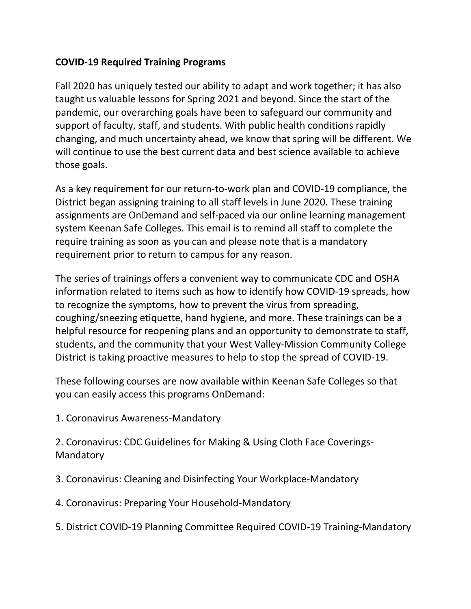## **COVID-19 Required Training Programs**

Fall 2020 has uniquely tested our ability to adapt and work together; it has also taught us valuable lessons for Spring 2021 and beyond. Since the start of the pandemic, our overarching goals have been to safeguard our community and support of faculty, staff, and students. With public health conditions rapidly changing, and much uncertainty ahead, we know that spring will be different. We will continue to use the best current data and best science available to achieve those goals.

As a key requirement for our return-to-work plan and COVID-19 compliance, the District began assigning training to all staff levels in June 2020. These training assignments are OnDemand and self-paced via our online learning management system Keenan Safe Colleges. This email is to remind all staff to complete the require training as soon as you can and please note that is a mandatory requirement prior to return to campus for any reason.

The series of trainings offers a convenient way to communicate CDC and OSHA information related to items such as how to identify how COVID-19 spreads, how to recognize the symptoms, how to prevent the virus from spreading, coughing/sneezing etiquette, hand hygiene, and more. These trainings can be a helpful resource for reopening plans and an opportunity to demonstrate to staff, students, and the community that your West Valley-Mission Community College District is taking proactive measures to help to stop the spread of COVID-19.

These following courses are now available within Keenan Safe Colleges so that you can easily access this programs OnDemand:

1. Coronavirus Awareness-Mandatory

2. Coronavirus: CDC Guidelines for Making & Using Cloth Face Coverings-Mandatory

- 3. Coronavirus: Cleaning and Disinfecting Your Workplace-Mandatory
- 4. Coronavirus: Preparing Your Household-Mandatory
- 5. District COVID-19 Planning Committee Required COVID-19 Training-Mandatory